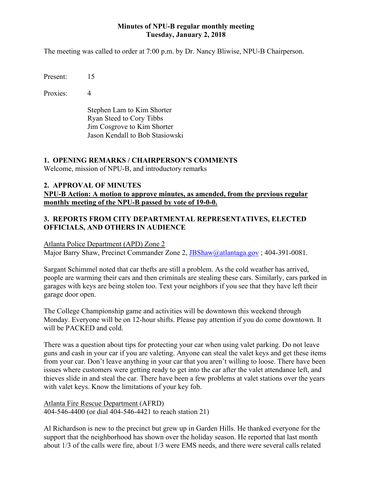### **Minutes of NPU-B regular monthly meeting Tuesday, January 2, 2018**

The meeting was called to order at 7:00 p.m. by Dr. Nancy Bliwise, NPU-B Chairperson.

Present: 15

Proxies: 4

Stephen Lam to Kim Shorter Ryan Steed to Cory Tibbs Jim Cosgrove to Kim Shorter Jason Kendall to Bob Stasiowski

# **1. OPENING REMARKS / CHAIRPERSON'S COMMENTS**

Welcome, mission of NPU-B, and introductory remarks

# **2. APPROVAL OF MINUTES**

**NPU-B Action: A motion to approve minutes, as amended, from the previous regular monthly meeting of the NPU-B passed by vote of 19-0-0.**

# **3. REPORTS FROM CITY DEPARTMENTAL REPRESENTATIVES, ELECTED OFFICIALS, AND OTHERS IN AUDIENCE**

#### Atlanta Police Department (APD) Zone 2

Major Barry Shaw, Precinct Commander Zone 2, [JBShaw@atlantaga.gov](mailto:VHobbs@AtlantaGA.gov); 404-391-0081.

Sargant Schimmel noted that car thefts are still a problem. As the cold weather has arrived, people are warming their cars and then criminals are stealing these cars. Similarly, cars parked in garages with keys are being stolen too. Text your neighbors if you see that they have left their garage door open.

The College Championship game and activities will be downtown this weekend through Monday. Everyone will be on 12-hour shifts. Please pay attention if you do come downtown. It will be PACKED and cold.

There was a question about tips for protecting your car when using valet parking. Do not leave guns and cash in your car if you are valeting. Anyone can steal the valet keys and get these items from your car. Don't leave anything in your car that you aren't willing to loose. There have been issues where customers were getting ready to get into the car after the valet attendance left, and thieves slide in and steal the car. There have been a few problems at valet stations over the years with valet keys. Know the limitations of your key fob.

Atlanta Fire Rescue Department (AFRD) 404-546-4400 (or dial 404-546-4421 to reach station 21)

Al Richardson is new to the precinct but grew up in Garden Hills. He thanked everyone for the support that the neighborhood has shown over the holiday season. He reported that last month about 1/3 of the calls were fire, about 1/3 were EMS needs, and there were several calls related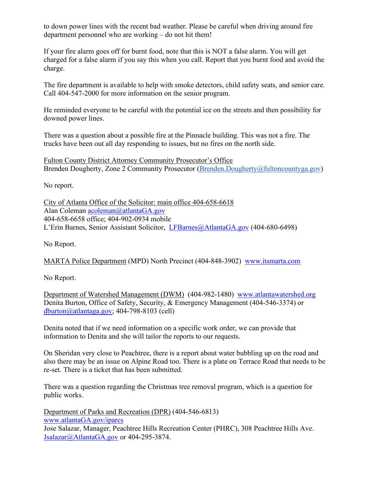to down power lines with the recent bad weather. Please be careful when driving around fire department personnel who are working – do not hit them!

If your fire alarm goes off for burnt food, note that this is NOT a false alarm. You will get charged for a false alarm if you say this when you call. Report that you burnt food and avoid the charge.

The fire department is available to help with smoke detectors, child safety seats, and senior care. Call 404-547-2000 for more information on the senior program.

He reminded everyone to be careful with the potential ice on the streets and then possibility for downed power lines.

There was a question about a possible fire at the Pinnacle building. This was not a fire. The trucks have been out all day responding to issues, but no fires on the north side.

Fulton County District Attorney Community Prosecutor's Office Brenden Dougherty, Zone 2 Community Prosecutor [\(Brenden.Dougherty@fultoncountyga.gov\)](mailto:Brenden.Dougherty@fultoncountyga.gov)

No report.

City of Atlanta Office of the Solicitor: main office 404-658-6618 Alan Coleman [acoleman@atlantaGA.gov](mailto:acoleman@atlantaGA.gov) 404-658-6658 office; 404-902-0934 mobile L'Erin Barnes, Senior Assistant Solicitor, [LFBarnes@AtlantaGA.gov](mailto:LFBarnes@AtlantaGA.gov) (404-680-6498)

No Report.

MARTA Police Department (MPD) North Precinct (404-848-3902) [www.itsmarta.com](http://www.itsmarta.com/)

No Report.

Department of Watershed Management (DWM) (404-982-1480) [www.atlantawatershed.org](http://www.atlantawatershed.org/) Denita Burton, Office of Safety, Security, & Emergency Management (404-546-3374) or  $d$ burton@atlantaga.gov; 404-798-8103 (cell)

Denita noted that if we need information on a specific work order, we can provide that information to Denita and she will tailor the reports to our requests.

On Sheridan very close to Peachtree, there is a report about water bubbling up on the road and also there may be an issue on Alpine Road too. There is a plate on Terrace Road that needs to be re-set. There is a ticket that has been submitted.

There was a question regarding the Christmas tree removal program, which is a question for public works.

Department of Parks and Recreation (DPR) (404-546-6813) [www.atlantaGA.gov/iparcs](http://www.atlantaga.gov/iparcs) Jose Salazar, Manager, Peachtree Hills Recreation Center (PHRC), 308 Peachtree Hills Ave. [Jsalazar@AtlantaGA.gov](mailto:SMGerman@AtlantaGA.gov) or 404-295-3874.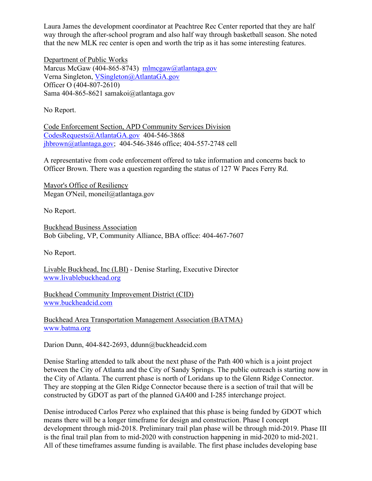Laura James the development coordinator at Peachtree Rec Center reported that they are half way through the after-school program and also half way through basketball season. She noted that the new MLK rec center is open and worth the trip as it has some interesting features.

Department of Public Works Marcus McGaw (404-865-8743) [mlmcgaw@atlantaga.gov](mailto:mlmcgaw@atlantaga.gov) Verna Singleton, [VSingleton@AtlantaGA.gov](mailto:VSingleton@AtlantaGA.gov) Officer O (404-807-2610) Sama 404-865-8621 samakoi@atlantaga.gov

No Report.

Code Enforcement Section, APD Community Services Division [CodesRequests@AtlantaGA.gov](mailto:CodesRequests@AtlantaGA.gov) 404-546-3868 [jhbrown@atlantaga.gov;](mailto:jhbrown@atlantaga.gov) 404-546-3846 office; 404-557-2748 cell

A representative from code enforcement offered to take information and concerns back to Officer Brown. There was a question regarding the status of 127 W Paces Ferry Rd.

Mayor's Office of Resiliency Megan O'Neil, moneil@atlantaga.gov

No Report.

Buckhead Business Association Bob Gibeling, VP, Community Alliance, BBA office: 404-467-7607

No Report.

Livable Buckhead, Inc (LBI) - Denise Starling, Executive Director [www.livablebuckhead.org](http://www.livablebuckhead.org/)

Buckhead Community Improvement District (CID) [www.buckheadcid.com](http://www.buckheadcid.com/)

Buckhead Area Transportation Management Association (BATMA) [www.batma.org](http://www.batma.org/)

Darion Dunn, 404-842-2693, ddunn@buckheadcid.com

Denise Starling attended to talk about the next phase of the Path 400 which is a joint project between the City of Atlanta and the City of Sandy Springs. The public outreach is starting now in the City of Atlanta. The current phase is north of Loridans up to the Glenn Ridge Connector. They are stopping at the Glen Ridge Connector because there is a section of trail that will be constructed by GDOT as part of the planned GA400 and I-285 interchange project.

Denise introduced Carlos Perez who explained that this phase is being funded by GDOT which means there will be a longer timeframe for design and construction. Phase I concept development through mid-2018. Preliminary trail plan phase will be through mid-2019. Phase III is the final trail plan from to mid-2020 with construction happening in mid-2020 to mid-2021. All of these timeframes assume funding is available. The first phase includes developing base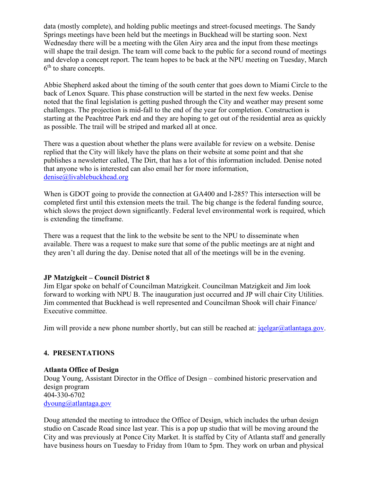data (mostly complete), and holding public meetings and street-focused meetings. The Sandy Springs meetings have been held but the meetings in Buckhead will be starting soon. Next Wednesday there will be a meeting with the Glen Airy area and the input from these meetings will shape the trail design. The team will come back to the public for a second round of meetings and develop a concept report. The team hopes to be back at the NPU meeting on Tuesday, March  $6<sup>th</sup>$  to share concepts.

Abbie Shepherd asked about the timing of the south center that goes down to Miami Circle to the back of Lenox Square. This phase construction will be started in the next few weeks. Denise noted that the final legislation is getting pushed through the City and weather may present some challenges. The projection is mid-fall to the end of the year for completion. Construction is starting at the Peachtree Park end and they are hoping to get out of the residential area as quickly as possible. The trail will be striped and marked all at once.

There was a question about whether the plans were available for review on a website. Denise replied that the City will likely have the plans on their website at some point and that she publishes a newsletter called, The Dirt, that has a lot of this information included. Denise noted that anyone who is interested can also email her for more information, [denise@livablebuckhead.org](mailto:denise@livablebuckhead.org)

When is GDOT going to provide the connection at GA400 and I-285? This intersection will be completed first until this extension meets the trail. The big change is the federal funding source, which slows the project down significantly. Federal level environmental work is required, which is extending the timeframe.

There was a request that the link to the website be sent to the NPU to disseminate when available. There was a request to make sure that some of the public meetings are at night and they aren't all during the day. Denise noted that all of the meetings will be in the evening.

# **JP Matzigkeit – Council District 8**

Jim Elgar spoke on behalf of Councilman Matzigkeit. Councilman Matzigkeit and Jim look forward to working with NPU B. The inauguration just occurred and JP will chair City Utilities. Jim commented that Buckhead is well represented and Councilman Shook will chair Finance/ Executive committee.

Jim will provide a new phone number shortly, but can still be reached at:  $jqelgar@atlantaga.gov$ .

# **4. PRESENTATIONS**

#### **Atlanta Office of Design**

Doug Young, Assistant Director in the Office of Design – combined historic preservation and design program 404-330-6702 [dyoung@atlantaga.gov](mailto:dyoung@atlantaga.gov)

Doug attended the meeting to introduce the Office of Design, which includes the urban design studio on Cascade Road since last year. This is a pop up studio that will be moving around the City and was previously at Ponce City Market. It is staffed by City of Atlanta staff and generally have business hours on Tuesday to Friday from 10am to 5pm. They work on urban and physical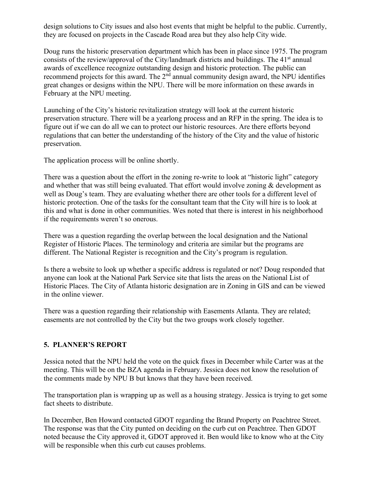design solutions to City issues and also host events that might be helpful to the public. Currently, they are focused on projects in the Cascade Road area but they also help City wide.

Doug runs the historic preservation department which has been in place since 1975. The program consists of the review/approval of the City/landmark districts and buildings. The 41<sup>st</sup> annual awards of excellence recognize outstanding design and historic protection. The public can recommend projects for this award. The  $2<sup>nd</sup>$  annual community design award, the NPU identifies great changes or designs within the NPU. There will be more information on these awards in February at the NPU meeting.

Launching of the City's historic revitalization strategy will look at the current historic preservation structure. There will be a yearlong process and an RFP in the spring. The idea is to figure out if we can do all we can to protect our historic resources. Are there efforts beyond regulations that can better the understanding of the history of the City and the value of historic preservation.

The application process will be online shortly.

There was a question about the effort in the zoning re-write to look at "historic light" category and whether that was still being evaluated. That effort would involve zoning & development as well as Doug's team. They are evaluating whether there are other tools for a different level of historic protection. One of the tasks for the consultant team that the City will hire is to look at this and what is done in other communities. Wes noted that there is interest in his neighborhood if the requirements weren't so onerous.

There was a question regarding the overlap between the local designation and the National Register of Historic Places. The terminology and criteria are similar but the programs are different. The National Register is recognition and the City's program is regulation.

Is there a website to look up whether a specific address is regulated or not? Doug responded that anyone can look at the National Park Service site that lists the areas on the National List of Historic Places. The City of Atlanta historic designation are in Zoning in GIS and can be viewed in the online viewer.

There was a question regarding their relationship with Easements Atlanta. They are related; easements are not controlled by the City but the two groups work closely together.

# **5. PLANNER'S REPORT**

Jessica noted that the NPU held the vote on the quick fixes in December while Carter was at the meeting. This will be on the BZA agenda in February. Jessica does not know the resolution of the comments made by NPU B but knows that they have been received.

The transportation plan is wrapping up as well as a housing strategy. Jessica is trying to get some fact sheets to distribute.

In December, Ben Howard contacted GDOT regarding the Brand Property on Peachtree Street. The response was that the City punted on deciding on the curb cut on Peachtree. Then GDOT noted because the City approved it, GDOT approved it. Ben would like to know who at the City will be responsible when this curb cut causes problems.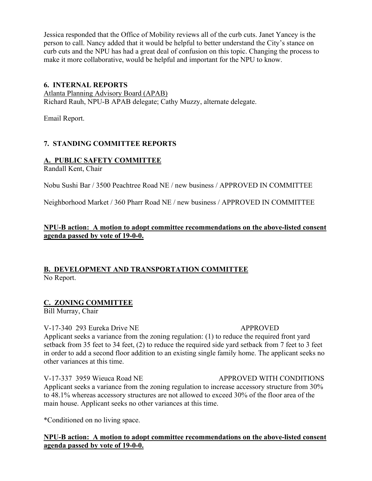Jessica responded that the Office of Mobility reviews all of the curb cuts. Janet Yancey is the person to call. Nancy added that it would be helpful to better understand the City's stance on curb cuts and the NPU has had a great deal of confusion on this topic. Changing the process to make it more collaborative, would be helpful and important for the NPU to know.

### **6. INTERNAL REPORTS**

Atlanta Planning Advisory Board (APAB) Richard Rauh, NPU-B APAB delegate; Cathy Muzzy, alternate delegate.

Email Report.

# **7. STANDING COMMITTEE REPORTS**

# **A. PUBLIC SAFETY COMMITTEE**

Randall Kent, Chair

Nobu Sushi Bar / 3500 Peachtree Road NE / new business / APPROVED IN COMMITTEE

Neighborhood Market / 360 Pharr Road NE / new business / APPROVED IN COMMITTEE

# **NPU-B action: A motion to adopt committee recommendations on the above-listed consent agenda passed by vote of 19-0-0.**

# **B. DEVELOPMENT AND TRANSPORTATION COMMITTEE** No Report.

# **C. ZONING COMMITTEE**

Bill Murray, Chair

#### V-17-340 293 Eureka Drive NE APPROVED

Applicant seeks a variance from the zoning regulation: (1) to reduce the required front yard setback from 35 feet to 34 feet, (2) to reduce the required side yard setback from 7 feet to 3 feet in order to add a second floor addition to an existing single family home. The applicant seeks no other variances at this time.

# V-17-337 3959 Wieuca Road NE APPROVED WITH CONDITIONS

Applicant seeks a variance from the zoning regulation to increase accessory structure from 30% to 48.1% whereas accessory structures are not allowed to exceed 30% of the floor area of the main house. Applicant seeks no other variances at this time.

\*Conditioned on no living space.

**NPU-B action: A motion to adopt committee recommendations on the above-listed consent agenda passed by vote of 19-0-0.**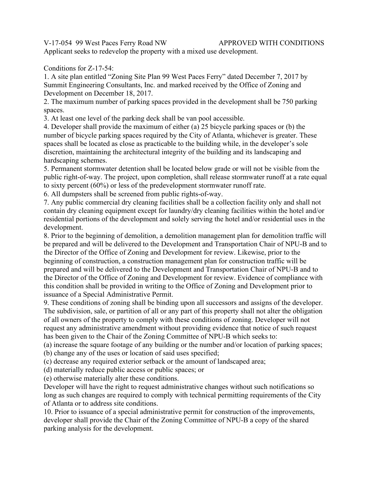V-17-054 99 West Paces Ferry Road NW APPROVED WITH CONDITIONS

Applicant seeks to redevelop the property with a mixed use development.

# Conditions for Z-17-54:

1. A site plan entitled "Zoning Site Plan 99 West Paces Ferry" dated December 7, 2017 by Summit Engineering Consultants, Inc. and marked received by the Office of Zoning and Development on December 18, 2017.

2. The maximum number of parking spaces provided in the development shall be 750 parking spaces.

3. At least one level of the parking deck shall be van pool accessible.

4. Developer shall provide the maximum of either (a) 25 bicycle parking spaces or (b) the number of bicycle parking spaces required by the City of Atlanta, whichever is greater. These spaces shall be located as close as practicable to the building while, in the developer's sole discretion, maintaining the architectural integrity of the building and its landscaping and hardscaping schemes.

5. Permanent stormwater detention shall be located below grade or will not be visible from the public right-of-way. The project, upon completion, shall release stormwater runoff at a rate equal to sixty percent (60%) or less of the predevelopment stormwater runoff rate.

6. All dumpsters shall be screened from public rights-of-way.

7. Any public commercial dry cleaning facilities shall be a collection facility only and shall not contain dry cleaning equipment except for laundry/dry cleaning facilities within the hotel and/or residential portions of the development and solely serving the hotel and/or residential uses in the development.

8. Prior to the beginning of demolition, a demolition management plan for demolition traffic will be prepared and will be delivered to the Development and Transportation Chair of NPU-B and to the Director of the Office of Zoning and Development for review. Likewise, prior to the beginning of construction, a construction management plan for construction traffic will be prepared and will be delivered to the Development and Transportation Chair of NPU-B and to the Director of the Office of Zoning and Development for review. Evidence of compliance with this condition shall be provided in writing to the Office of Zoning and Development prior to issuance of a Special Administrative Permit.

9. These conditions of zoning shall be binding upon all successors and assigns of the developer. The subdivision, sale, or partition of all or any part of this property shall not alter the obligation of all owners of the property to comply with these conditions of zoning. Developer will not request any administrative amendment without providing evidence that notice of such request has been given to the Chair of the Zoning Committee of NPU-B which seeks to:

(a) increase the square footage of any building or the number and/or location of parking spaces;

(b) change any of the uses or location of said uses specified;

(c) decrease any required exterior setback or the amount of landscaped area;

(d) materially reduce public access or public spaces; or

(e) otherwise materially alter these conditions.

Developer will have the right to request administrative changes without such notifications so long as such changes are required to comply with technical permitting requirements of the City of Atlanta or to address site conditions.

10. Prior to issuance of a special administrative permit for construction of the improvements, developer shall provide the Chair of the Zoning Committee of NPU-B a copy of the shared parking analysis for the development.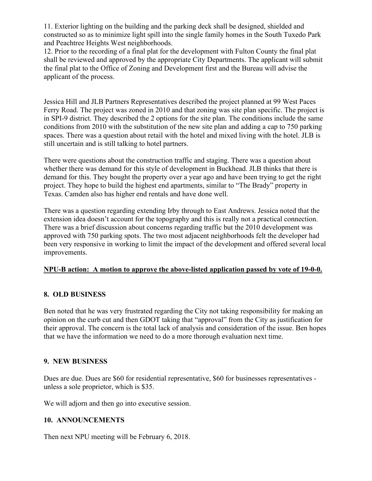11. Exterior lighting on the building and the parking deck shall be designed, shielded and constructed so as to minimize light spill into the single family homes in the South Tuxedo Park and Peachtree Heights West neighborhoods.

12. Prior to the recording of a final plat for the development with Fulton County the final plat shall be reviewed and approved by the appropriate City Departments. The applicant will submit the final plat to the Office of Zoning and Development first and the Bureau will advise the applicant of the process.

Jessica Hill and JLB Partners Representatives described the project planned at 99 West Paces Ferry Road. The project was zoned in 2010 and that zoning was site plan specific. The project is in SPI-9 district. They described the 2 options for the site plan. The conditions include the same conditions from 2010 with the substitution of the new site plan and adding a cap to 750 parking spaces. There was a question about retail with the hotel and mixed living with the hotel. JLB is still uncertain and is still talking to hotel partners.

There were questions about the construction traffic and staging. There was a question about whether there was demand for this style of development in Buckhead. JLB thinks that there is demand for this. They bought the property over a year ago and have been trying to get the right project. They hope to build the highest end apartments, similar to "The Brady" property in Texas. Camden also has higher end rentals and have done well.

There was a question regarding extending Irby through to East Andrews. Jessica noted that the extension idea doesn't account for the topography and this is really not a practical connection. There was a brief discussion about concerns regarding traffic but the 2010 development was approved with 750 parking spots. The two most adjacent neighborhoods felt the developer had been very responsive in working to limit the impact of the development and offered several local improvements.

# **NPU-B action: A motion to approve the above-listed application passed by vote of 19-0-0.**

# **8. OLD BUSINESS**

Ben noted that he was very frustrated regarding the City not taking responsibility for making an opinion on the curb cut and then GDOT taking that "approval" from the City as justification for their approval. The concern is the total lack of analysis and consideration of the issue. Ben hopes that we have the information we need to do a more thorough evaluation next time.

#### **9. NEW BUSINESS**

Dues are due. Dues are \$60 for residential representative, \$60 for businesses representatives unless a sole proprietor, which is \$35.

We will adjorn and then go into executive session.

# **10. ANNOUNCEMENTS**

Then next NPU meeting will be February 6, 2018.